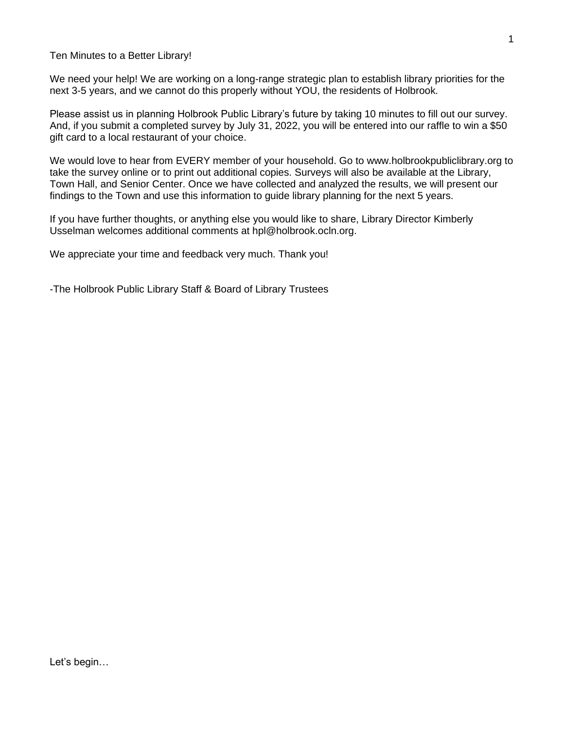Ten Minutes to a Better Library!

We need your help! We are working on a long-range strategic plan to establish library priorities for the next 3-5 years, and we cannot do this properly without YOU, the residents of Holbrook.

Please assist us in planning Holbrook Public Library's future by taking 10 minutes to fill out our survey. And, if you submit a completed survey by July 31, 2022, you will be entered into our raffle to win a \$50 gift card to a local restaurant of your choice.

We would love to hear from EVERY member of your household. Go to www.holbrookpubliclibrary.org to take the survey online or to print out additional copies. Surveys will also be available at the Library, Town Hall, and Senior Center. Once we have collected and analyzed the results, we will present our findings to the Town and use this information to guide library planning for the next 5 years.

If you have further thoughts, or anything else you would like to share, Library Director Kimberly Usselman welcomes additional comments at hpl@holbrook.ocln.org.

We appreciate your time and feedback very much. Thank you!

-The Holbrook Public Library Staff & Board of Library Trustees

Let's begin…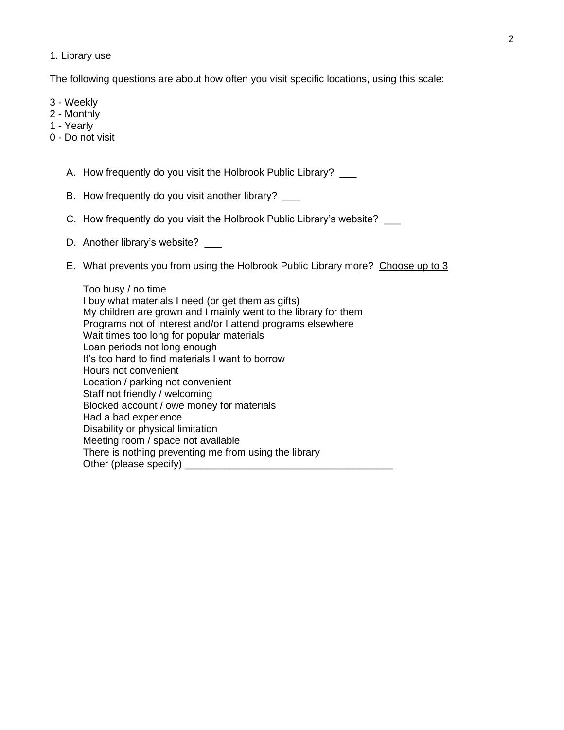1. Library use

The following questions are about how often you visit specific locations, using this scale:

- 3 Weekly
- 2 Monthly
- 1 Yearly
- 0 Do not visit

A. How frequently do you visit the Holbrook Public Library? \_\_\_

- B. How frequently do you visit another library? \_\_\_
- C. How frequently do you visit the Holbrook Public Library's website?
- D. Another library's website? \_\_\_
- E. What prevents you from using the Holbrook Public Library more? Choose up to 3

Too busy / no time I buy what materials I need (or get them as gifts) My children are grown and I mainly went to the library for them Programs not of interest and/or I attend programs elsewhere Wait times too long for popular materials Loan periods not long enough It's too hard to find materials I want to borrow Hours not convenient Location / parking not convenient Staff not friendly / welcoming Blocked account / owe money for materials Had a bad experience Disability or physical limitation Meeting room / space not available There is nothing preventing me from using the library Other (please specify)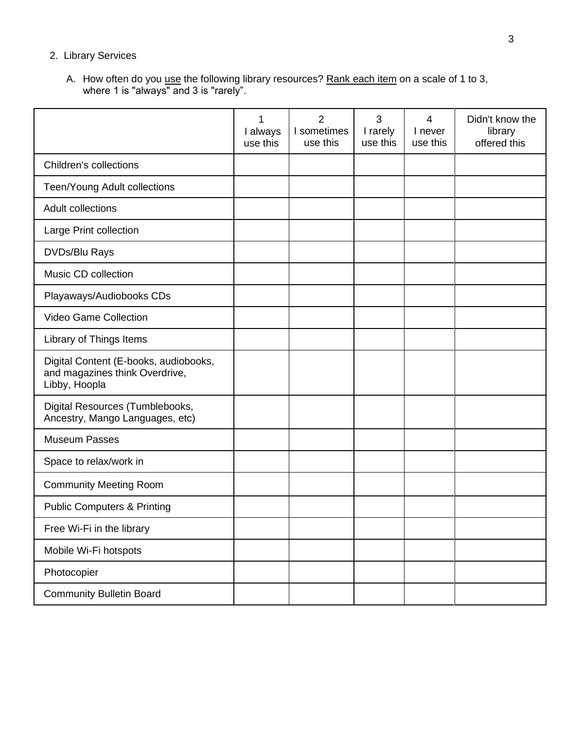# 2. Library Services

A. How often do you use the following library resources? Rank each item on a scale of 1 to 3, where 1 is "always" and 3 is "rarely".

|                                                                                          | 1<br>I always<br>use this | $\overline{2}$<br>I sometimes<br>use this | 3<br>I rarely<br>use this | 4<br>I never<br>use this | Didn't know the<br>library<br>offered this |
|------------------------------------------------------------------------------------------|---------------------------|-------------------------------------------|---------------------------|--------------------------|--------------------------------------------|
| Children's collections                                                                   |                           |                                           |                           |                          |                                            |
| Teen/Young Adult collections                                                             |                           |                                           |                           |                          |                                            |
| <b>Adult collections</b>                                                                 |                           |                                           |                           |                          |                                            |
| Large Print collection                                                                   |                           |                                           |                           |                          |                                            |
| DVDs/Blu Rays                                                                            |                           |                                           |                           |                          |                                            |
| Music CD collection                                                                      |                           |                                           |                           |                          |                                            |
| Playaways/Audiobooks CDs                                                                 |                           |                                           |                           |                          |                                            |
| <b>Video Game Collection</b>                                                             |                           |                                           |                           |                          |                                            |
| Library of Things Items                                                                  |                           |                                           |                           |                          |                                            |
| Digital Content (E-books, audiobooks,<br>and magazines think Overdrive,<br>Libby, Hoopla |                           |                                           |                           |                          |                                            |
| Digital Resources (Tumblebooks,<br>Ancestry, Mango Languages, etc)                       |                           |                                           |                           |                          |                                            |
| <b>Museum Passes</b>                                                                     |                           |                                           |                           |                          |                                            |
| Space to relax/work in                                                                   |                           |                                           |                           |                          |                                            |
| <b>Community Meeting Room</b>                                                            |                           |                                           |                           |                          |                                            |
| <b>Public Computers &amp; Printing</b>                                                   |                           |                                           |                           |                          |                                            |
| Free Wi-Fi in the library                                                                |                           |                                           |                           |                          |                                            |
| Mobile Wi-Fi hotspots                                                                    |                           |                                           |                           |                          |                                            |
| Photocopier                                                                              |                           |                                           |                           |                          |                                            |
| <b>Community Bulletin Board</b>                                                          |                           |                                           |                           |                          |                                            |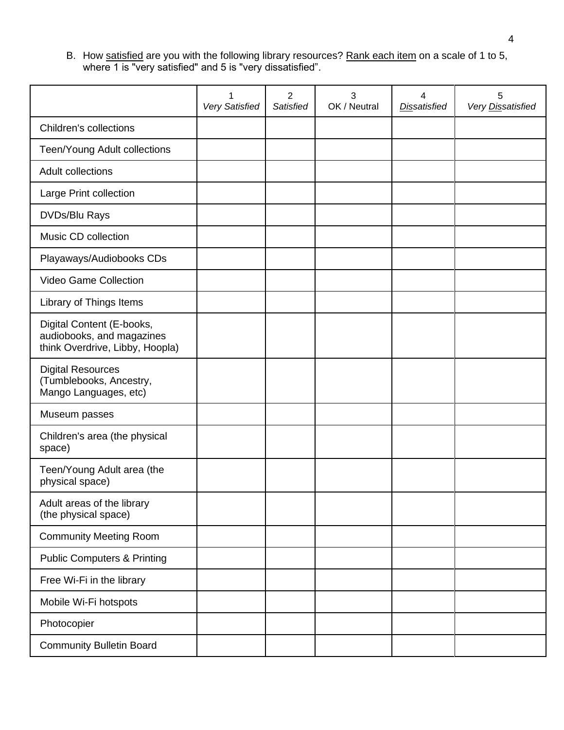B. How satisfied are you with the following library resources? Rank each item on a scale of 1 to 5, where 1 is "very satisfied" and 5 is "very dissatisfied".

|                                                                                           | Very Satisfied | $\overline{2}$<br>Satisfied | 3<br>OK / Neutral | 4<br><b>Dissatisfied</b> | 5<br>Very Dissatisfied |
|-------------------------------------------------------------------------------------------|----------------|-----------------------------|-------------------|--------------------------|------------------------|
| <b>Children's collections</b>                                                             |                |                             |                   |                          |                        |
| Teen/Young Adult collections                                                              |                |                             |                   |                          |                        |
| <b>Adult collections</b>                                                                  |                |                             |                   |                          |                        |
| Large Print collection                                                                    |                |                             |                   |                          |                        |
| DVDs/Blu Rays                                                                             |                |                             |                   |                          |                        |
| Music CD collection                                                                       |                |                             |                   |                          |                        |
| Playaways/Audiobooks CDs                                                                  |                |                             |                   |                          |                        |
| <b>Video Game Collection</b>                                                              |                |                             |                   |                          |                        |
| Library of Things Items                                                                   |                |                             |                   |                          |                        |
| Digital Content (E-books,<br>audiobooks, and magazines<br>think Overdrive, Libby, Hoopla) |                |                             |                   |                          |                        |
| <b>Digital Resources</b><br>(Tumblebooks, Ancestry,<br>Mango Languages, etc)              |                |                             |                   |                          |                        |
| Museum passes                                                                             |                |                             |                   |                          |                        |
| Children's area (the physical<br>space)                                                   |                |                             |                   |                          |                        |
| Teen/Young Adult area (the<br>physical space)                                             |                |                             |                   |                          |                        |
| Adult areas of the library<br>(the physical space)                                        |                |                             |                   |                          |                        |
| <b>Community Meeting Room</b>                                                             |                |                             |                   |                          |                        |
| <b>Public Computers &amp; Printing</b>                                                    |                |                             |                   |                          |                        |
| Free Wi-Fi in the library                                                                 |                |                             |                   |                          |                        |
| Mobile Wi-Fi hotspots                                                                     |                |                             |                   |                          |                        |
| Photocopier                                                                               |                |                             |                   |                          |                        |
| <b>Community Bulletin Board</b>                                                           |                |                             |                   |                          |                        |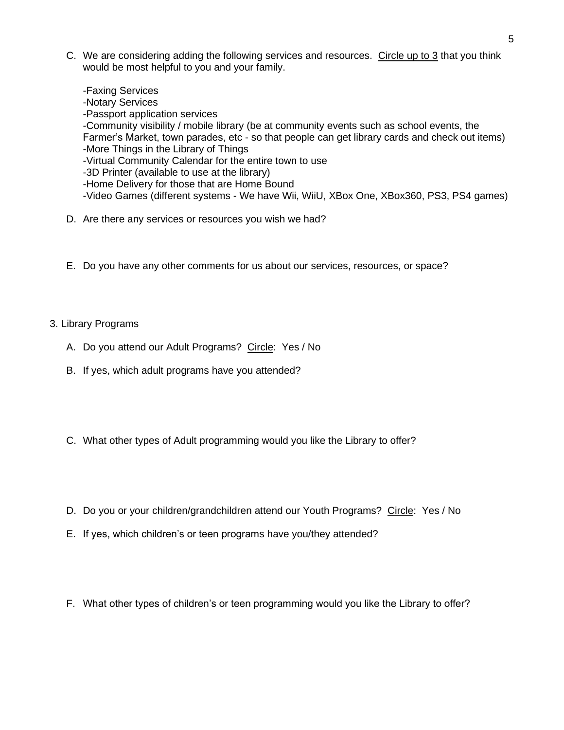C. We are considering adding the following services and resources. Circle up to 3 that you think would be most helpful to you and your family.

-Faxing Services -Notary Services -Passport application services -Community visibility / mobile library (be at community events such as school events, the Farmer's Market, town parades, etc - so that people can get library cards and check out items) -More Things in the Library of Things -Virtual Community Calendar for the entire town to use -3D Printer (available to use at the library) -Home Delivery for those that are Home Bound -Video Games (different systems - We have Wii, WiiU, XBox One, XBox360, PS3, PS4 games)

- D. Are there any services or resources you wish we had?
- E. Do you have any other comments for us about our services, resources, or space?

#### 3. Library Programs

- A. Do you attend our Adult Programs? Circle: Yes / No
- B. If yes, which adult programs have you attended?
- C. What other types of Adult programming would you like the Library to offer?
- D. Do you or your children/grandchildren attend our Youth Programs? Circle: Yes / No
- E. If yes, which children's or teen programs have you/they attended?
- F. What other types of children's or teen programming would you like the Library to offer?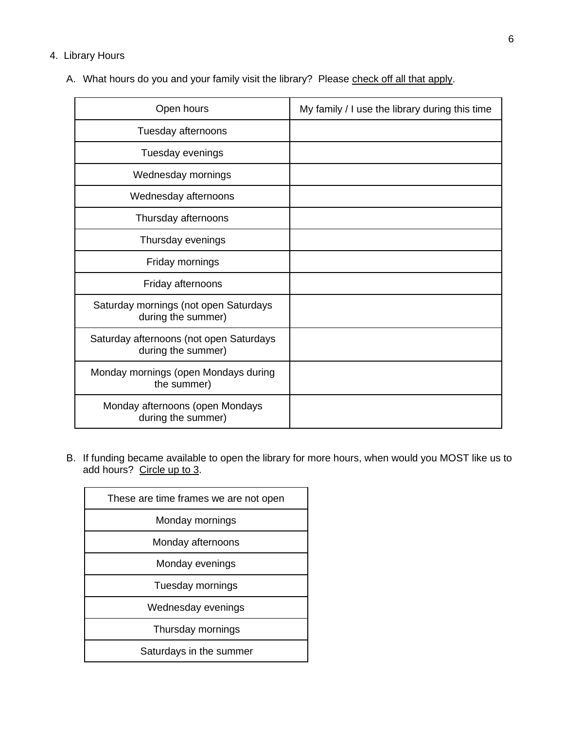## 4. Library Hours

A. What hours do you and your family visit the library? Please check off all that apply.

| Open hours                                                    | My family / I use the library during this time |
|---------------------------------------------------------------|------------------------------------------------|
| Tuesday afternoons                                            |                                                |
| Tuesday evenings                                              |                                                |
| Wednesday mornings                                            |                                                |
| Wednesday afternoons                                          |                                                |
| Thursday afternoons                                           |                                                |
| Thursday evenings                                             |                                                |
| Friday mornings                                               |                                                |
| Friday afternoons                                             |                                                |
| Saturday mornings (not open Saturdays<br>during the summer)   |                                                |
| Saturday afternoons (not open Saturdays<br>during the summer) |                                                |
| Monday mornings (open Mondays during<br>the summer)           |                                                |
| Monday afternoons (open Mondays<br>during the summer)         |                                                |

B. If funding became available to open the library for more hours, when would you MOST like us to add hours? Circle up to 3.

| These are time frames we are not open |  |  |
|---------------------------------------|--|--|
| Monday mornings                       |  |  |
| Monday afternoons                     |  |  |
| Monday evenings                       |  |  |
| Tuesday mornings                      |  |  |
| Wednesday evenings                    |  |  |
| Thursday mornings                     |  |  |
| Saturdays in the summer               |  |  |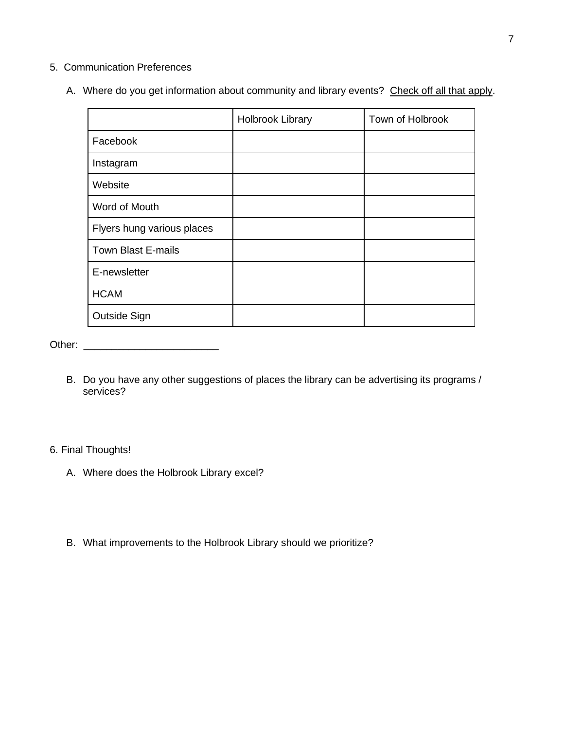# 5. Communication Preferences

A. Where do you get information about community and library events? Check off all that apply.

|                            | <b>Holbrook Library</b> | Town of Holbrook |
|----------------------------|-------------------------|------------------|
| Facebook                   |                         |                  |
| Instagram                  |                         |                  |
| Website                    |                         |                  |
| Word of Mouth              |                         |                  |
| Flyers hung various places |                         |                  |
| Town Blast E-mails         |                         |                  |
| E-newsletter               |                         |                  |
| <b>HCAM</b>                |                         |                  |
| Outside Sign               |                         |                  |

Other: \_\_\_\_\_\_\_\_\_\_\_\_\_\_\_\_\_\_\_\_\_\_\_\_

B. Do you have any other suggestions of places the library can be advertising its programs / services?

## 6. Final Thoughts!

- A. Where does the Holbrook Library excel?
- B. What improvements to the Holbrook Library should we prioritize?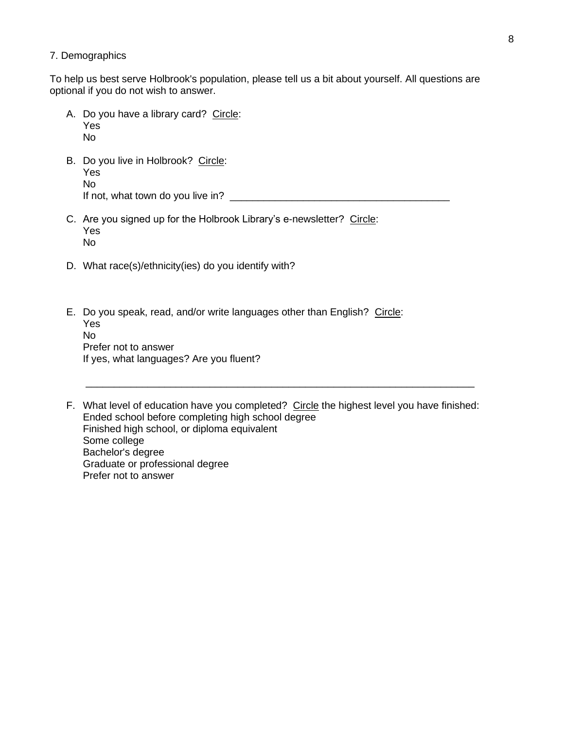#### 7. Demographics

To help us best serve Holbrook's population, please tell us a bit about yourself. All questions are optional if you do not wish to answer.

- A. Do you have a library card? Circle: Yes No
- B. Do you live in Holbrook? Circle: Yes No If not, what town do you live in? \_\_\_\_\_\_\_\_\_\_\_\_\_\_\_\_\_\_\_\_\_\_\_\_\_\_\_\_\_\_\_\_\_\_\_\_\_\_\_
- C. Are you signed up for the Holbrook Library's e-newsletter? Circle: Yes No
- D. What race(s)/ethnicity(ies) do you identify with?
- E. Do you speak, read, and/or write languages other than English? Circle: Yes No Prefer not to answer If yes, what languages? Are you fluent?
- F. What level of education have you completed? Circle the highest level you have finished: Ended school before completing high school degree Finished high school, or diploma equivalent Some college Bachelor's degree Graduate or professional degree Prefer not to answer

\_\_\_\_\_\_\_\_\_\_\_\_\_\_\_\_\_\_\_\_\_\_\_\_\_\_\_\_\_\_\_\_\_\_\_\_\_\_\_\_\_\_\_\_\_\_\_\_\_\_\_\_\_\_\_\_\_\_\_\_\_\_\_\_\_\_\_\_\_